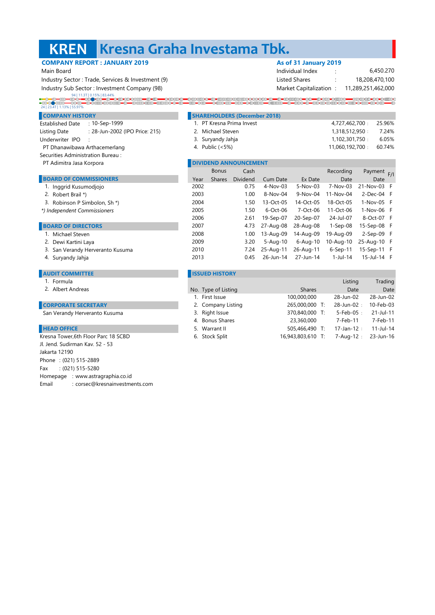#### **KREN Kresna Graha Investama Tbk.**

## **COMPANY REPORT : JANUARY 2019 As of 31 January 2019**

94 | 11.3T | 0.15% | 83.44%

|                                                   | --- -- - - - - ----- - - - - -             |                |  |  |  |
|---------------------------------------------------|--------------------------------------------|----------------|--|--|--|
| Main Board                                        | Individual Index                           | 6.450.270      |  |  |  |
| Industry Sector: Trade, Services & Investment (9) | Listed Shares                              | 18,208,470,100 |  |  |  |
| Industry Sub Sector: Investment Company (98)      | Market Capitalization : 11,289,251,462,000 |                |  |  |  |

#### 24 | 23.4T | 1.13% | 55.97%**COMPANY HISTORY SHAREHOLDERS (December 2018)** 4,727,462,700 1. 25.96% PT Kresna Prima Invest

- Established Date : : 10-Sep-1999 Listing Date : : 28-Jun-2002 (IPO Price: 215) Underwriter IPO :
- PT Dhanawibawa Arthacemerlang
- Securities Administration Bureau :
- PT Adimitra Jasa Korpora

#### **BOARD OF COMMISSIONERS**

- 1. Inggrid Kusumodjojo
- 2. Robert Brail \*)
- 3. Robinson P Simbolon, Sh \*)
- *\*) Independent Commissioners*

### **BOARD OF DIRECTORS**

- 1. Michael Steven
- 2. Dewi Kartini Laya
- 3. San Verandy Herveranto Kusuma
- 

#### **ISSUED HISTORY**

- 1. Formula
- 2. Albert Andreas

#### **CORPORATE SECRETARY**

San Verandy Herveranto Kusuma

### **HEAD OFFICE**

Phone : (021) 515-2889 Fax : (021) 515-5280 Homepage : www.astragraphia.co.id Email : corsec@kresnainvestments.com Kresna Tower,6th Floor Parc 18 SCBD Jl. Jend. Sudirman Kav. 52 - 53 Jakarta 12190

| : 28-Jun-2002 (IPO Price: 215)<br>sting Date |      | 2. Michael Steven |                              |             |              | 1,318,512,950:            | 7.24%          |
|----------------------------------------------|------|-------------------|------------------------------|-------------|--------------|---------------------------|----------------|
| nderwriter IPO                               |      | 3. Suryandy Jahja |                              |             |              | 1,102,301,750:            | 6.05%          |
| <sup>2</sup> T Dhanawibawa Arthacemerlang    |      | 4. Public (<5%)   |                              |             |              | 60.74%<br>11,060,192,700: |                |
| : curities Administration Bureau:            |      |                   |                              |             |              |                           |                |
| <sup>9</sup> T Adimitra Jasa Korpora         |      |                   | <b>DIVIDEND ANNOUNCEMENT</b> |             |              |                           |                |
|                                              |      | <b>Bonus</b>      | Cash                         |             |              | Recording                 | Payment<br>F/I |
| <b>BOARD OF COMMISSIONERS</b>                | Year | <b>Shares</b>     | <b>Dividend</b>              | Cum Date    | Ex Date      | Date                      | Date           |
| 1. Inggrid Kusumodiojo                       | 2002 |                   | 0.75                         | $4-Nov-03$  | $5-Nov-03$   | 7-Nov-03                  | 21-Nov-03 F    |
| 2. Robert Brail *)                           | 2003 |                   | 1.00                         | 8-Nov-04    | 9-Nov-04     | 11-Nov-04                 | $2$ -Dec-04 F  |
| 3. Robinson P Simbolon, Sh *)                | 2004 |                   | 1.50                         | 13-Oct-05   | 14-Oct-05    | 18-Oct-05                 | $1-Nov-05$ F   |
| Independent Commissioners                    | 2005 |                   | 1.50                         | $6$ -Oct-06 | 7-Oct-06     | 11-Oct-06                 | 1-Nov-06 F     |
|                                              | 2006 |                   | 2.61                         | 19-Sep-07   | 20-Sep-07    | 24-Jul-07                 | 8-Oct-07 F     |
| <b>BOARD OF DIRECTORS</b>                    | 2007 |                   | 4.73                         | 27-Aug-08   | 28-Aug-08    | $1-Sep-08$                | 15-Sep-08 F    |
| 1. Michael Steven                            | 2008 |                   | 1.00                         | 13-Aug-09   | 14-Aug-09    | 19-Aug-09                 | $2-Sep-09$ F   |
| 2. Dewi Kartini Laya                         | 2009 |                   | 3.20                         | 5-Aug-10    | $6 - Aug-10$ | 10-Aug-10                 | 25-Aug-10 F    |
| 3. San Verandy Herveranto Kusuma             | 2010 |                   | 7.24                         | 25-Aug-11   | 26-Aug-11    | $6-Sep-11$                | 15-Sep-11 F    |
| 4. Suryandy Jahja                            | 2013 |                   | 0.45                         | 26-Jun-14   | 27-Jun-14    | 1-Jul-14                  | 15-Jul-14 F    |

| Formula                        |                     |                   | Listing        | Trading   |
|--------------------------------|---------------------|-------------------|----------------|-----------|
| Albert Andreas                 | No. Type of Listing | <b>Shares</b>     | Date           | Date      |
|                                | 1. First Issue      | 100,000,000       | 28-Jun-02      | 28-Jun-02 |
| <b>RPORATE SECRETARY</b>       | 2. Company Listing  | 265,000,000 T:    | 28-Jun-02:     | 10-Feb-03 |
| Verandy Herveranto Kusuma      | 3. Right Issue      | 370,840,000 T:    | $5$ -Feb-05:   | 21-Jul-11 |
|                                | 4. Bonus Shares     | 23,360,000        | 7-Feb-11       | 7-Feb-11  |
| <b>D OFFICE</b>                | 5. Warrant II       | 505,466,490 T:    | $17$ -Jan-12:  | 11-Jul-14 |
| a Tower,6th Floor Parc 18 SCBD | 6. Stock Split      | 16,943,803,610 T: | $7 - Aug-12$ : | 23-Jun-16 |
|                                |                     |                   |                |           |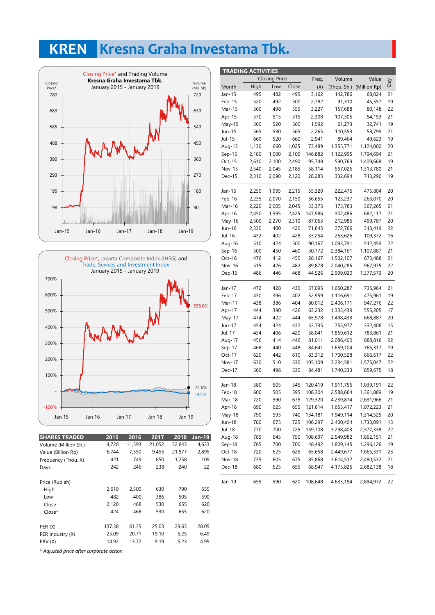## **KREN Kresna Graha Investama Tbk.**





| <b>SHARES TRADED</b>                    | 2015   | 2016   | 2017   | 2018   | <b>Jan-19</b> |
|-----------------------------------------|--------|--------|--------|--------|---------------|
| Volume (Million Sh.)                    | 4,720  | 11,593 | 21,052 | 32,643 | 4,633         |
| Value (Billion Rp)                      | 6,744  | 7,350  | 9,455  | 21,577 | 2,895         |
| Frequency (Thou. X)                     | 421    | 749    | 850    | 1,258  | 109           |
| Days                                    | 242    | 246    | 238    | 240    | 22            |
| Price (Rupiah)                          |        |        |        |        |               |
| High                                    | 2.610  | 2,500  | 630    | 790    | 655           |
| Low                                     | 482    | 400    | 386    | 505    | 590           |
| Close                                   | 2,120  | 468    | 530    | 655    | 620           |
| $Close*$                                | 424    | 468    | 530    | 655    | 620           |
| PER (X)                                 | 137.38 | 61.35  | 25.03  | 29.63  | 28.05         |
| PER Industry (X)                        | 25.09  | 20.71  | 19.10  | 5.25   | 6.49          |
| PBV (X)                                 | 14.92  | 13.72  | 9.19   | 5.23   | 4.95          |
| * Adjusted price after corporate action |        |        |        |        |               |

|          | <b>TRADING ACTIVITIES</b> |                      |       |         |           |                          |           |
|----------|---------------------------|----------------------|-------|---------|-----------|--------------------------|-----------|
|          |                           | <b>Closing Price</b> |       | Freq.   | Volume    | Value                    |           |
| Month    | High                      | Low                  | Close | (X)     |           | (Thou. Sh.) (Million Rp) | Day       |
| Jan-15   | 495                       | 482                  | 495   | 3,162   | 142,786   | 68,024                   | 21        |
| Feb-15   | 520                       | 492                  | 500   | 2,782   | 91,310    | 45,557                   | 19        |
| Mar-15   | 560                       | 498                  | 555   | 3,227   | 157,688   | 80,148                   | 22        |
| Apr-15   | 570                       | 515                  | 515   | 2,308   | 107,305   | 54,153                   | 21        |
| May-15   | 560                       | 520                  | 560   | 1,592   | 61,273    | 32,741                   | 19        |
| Jun-15   | 565                       | 530                  | 565   | 2,265   | 110,553   | 58,799                   | 21        |
| Jul-15   | 660                       | 520                  | 660   | 2,941   | 89,464    | 49,623                   | 19        |
| Aug-15   | 1,130                     | 660                  | 1,025 | 73,489  | 1,355,771 | 1,124,000                | 20        |
| $Sep-15$ | 2,180                     | 1,000                | 2,100 | 146,882 | 1,122,995 | 1,794,694                | 21        |
| Oct-15   | 2,610                     | 2,100                | 2,490 | 95,748  | 590,769   | 1,409,668                | 19        |
| Nov-15   | 2,540                     | 2,045                | 2,185 | 58,114  | 557,026   | 1,313,780                | 21        |
| Dec-15   | 2,310                     | 2,090                | 2,120 | 28,283  | 332,694   | 713,290                  | 19        |
| Jan-16   | 2,250                     | 1,995                | 2,215 | 55,320  | 222,476   | 475,804                  | 20        |
| Feb-16   | 2,235                     | 2,070                | 2,150 | 36,655  | 123,237   | 263,070                  | 20        |
| Mar-16   | 2,220                     | 2,005                | 2,045 | 33,375  | 175,783   | 367,265                  | 21        |
| Apr-16   | 2,450                     | 1,995                | 2,425 | 147,986 | 302,486   | 682,117                  | 21        |
| May-16   | 2,500                     | 2,270                | 2,310 | 87,053  | 212,986   | 499,787                  | 20        |
| Jun-16   | 2,330                     | 400                  | 420   | 71,643  | 272,766   | 313,419                  | 22        |
| Jul-16   | 432                       | 402                  | 428   | 33,254  | 263,626   | 109,372                  | 16        |
| Aug-16   | 510                       | 424                  | 500   | 90,167  | 1,093,791 | 512,459                  | 22        |
| $Sep-16$ | 500                       | 450                  | 460   | 30,772  | 2,384,161 | 1,107,887                | 21        |
| Oct-16   | 476                       | 412                  | 450   | 28,167  | 1,502,107 | 673,488                  | 21        |
| Nov-16   | 515                       | 426                  | 482   | 89,878  | 2,040,285 | 967,975                  | 22        |
| Dec-16   | 486                       | 446                  | 468   | 44,526  | 2,999,020 | 1,377,579                | 20        |
| Jan-17   | 472                       | 428                  | 430   | 37,095  | 1,650,287 | 735,964                  | 21        |
| Feb-17   | 430                       | 396                  | 402   | 52,959  | 1,116,691 | 475,961                  | 19        |
| Mar-17   | 438                       | 386                  | 404   | 80,012  | 2,406,171 | 947,276                  | 22        |
| Apr-17   | 444                       | 390                  | 426   | 63,232  | 1,333,439 | 555,205                  | 17        |
| May-17   | 474                       | 422                  | 444   | 65,978  | 1,498,433 | 668,887                  | 20        |
| Jun-17   | 454                       | 424                  | 432   | 53,735  | 755,977   | 332,408                  | 15        |
| Jul-17   | 434                       | 406                  | 420   | 58,041  | 1,869,612 | 783,861                  | 21        |
| Aug-17   | 456                       | 414                  | 446   | 81,011  | 2,086,400 | 888,816                  | 22        |
| Sep-17   | 468                       | 440                  | 448   | 84,641  | 1,659,104 | 765,317                  | 19        |
| Oct-17   | 620                       | 442                  | 610   | 83,312  | 1,700,528 | 866,617                  | 22        |
| Nov-17   | 630                       | 510                  | 530   | 105,109 | 3,234,581 | 1,575,047                | 22        |
| Dec-17   | 560                       | 496                  | 530   | 84,481  | 1,740,333 | 859,675                  | 18        |
| Jan-18   | 580                       | 505                  | 545   | 120,419 | 1,911,756 | 1,039,191                | 22        |
| Feb-18   | 600                       | 505                  | 595   | 108,304 | 2,588,664 | 1,361,889                | 19        |
| Mar-18   | 720                       | 590                  | 675   | 129,320 | 4,239,874 | 2,691,966                | <u>21</u> |
| Apr-18   | 690                       | 625                  | 655   | 121,614 | 1,655,417 | 1,072,223                | 21        |
| May-18   | 790                       | 595                  | 740   | 134,181 | 1,949,114 | 1,314,525                | 20        |
| Jun-18   | 780                       | 675                  | 725   | 106,297 | 2,400,404 | 1,733,091                | 13        |
| Jul-18   | 770                       | 700                  | 725   | 159,708 | 3,298,403 | 2,377,338                | 22        |
| Aug-18   | 785                       | 645                  | 750   | 108,697 | 2,549,982 | 1,862,151                | 21        |
| Sep-18   | 765                       | 700                  | 700   | 48,492  | 1,809,145 | 1,296,126                | 19        |
| Oct-18   | 720                       | 625                  | 625   | 65,658  | 2,449,677 | 1,665,331                | 23        |
| Nov-18   | 735                       | 605                  | 675   | 85,868  | 3,614,512 | 2,480,532                | 21        |
| Dec-18   | 680                       | 625                  | 655   | 68,947  | 4,175,825 | 2,682,138                | 18        |
| Jan-19   | 655                       | 590                  | 620   | 108,648 | 4,633,194 | 2,894,972                | 22        |